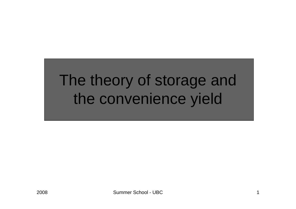## The theory of storage and the convenience yield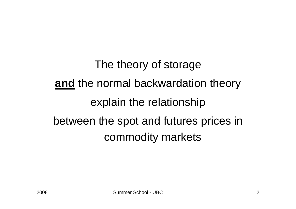The theory of storage **and** the normal backwardation theory explain the relationship between the spot and futures prices in commodity markets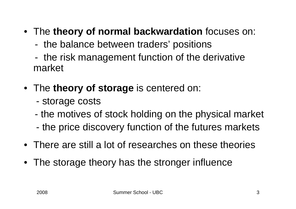#### • The **theory of normal backwardation** focuses on:

- the balance between traders' positions
- the risk management function of the derivative market
- The **theory of storage** is centered on:
	- storage costs
	- the motives of stock holding on the physical market
	- the price discovery function of the futures markets
- There are still a lot of researches on these theories
- The storage theory has the stronger influence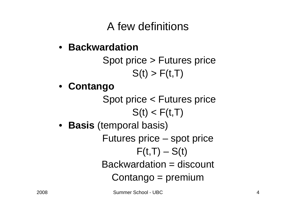### A few definitions

#### • **Backwardation**

Spot price > Futures price  $S(t) > F(t,T)$ 

• **Contango**

Spot price < Futures price  $S(t) < F(t,T)$ 

• **Basis** (temporal basis)

Futures price – spot price  $F(t,T) - S(t)$ Backwardation = discount Contango = premium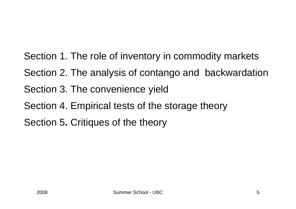Section 1. The role of inventory in commodity markets Section 2. The analysis of contango and backwardation Section 3. The convenience yield Section 4. Empirical tests of the storage theory Section 5**.** Critiques of the theory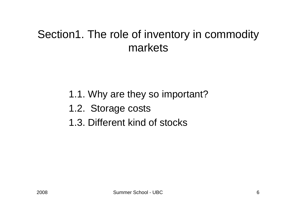#### Section1. The role of inventory in commodity markets

- 1.1. Why are they so important?
- 1.2. Storage costs
- 1.3. Different kind of stocks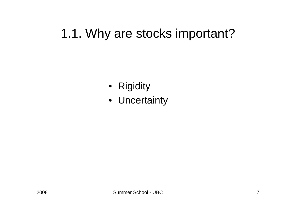### 1.1. Why are stocks important?

- Rigidity
- Uncertainty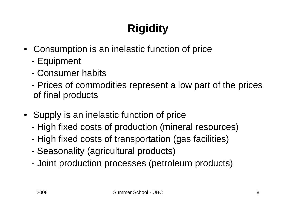## **Rigidity**

- Consumption is an inelastic function of price
	- -Equipment
	- Consumer habits
	- Prices of commodities represent a low part of the prices of final products
- Supply is an inelastic function of price
	- High fixed costs of production (mineral resources)
	- High fixed costs of transportation (gas facilities)
	- -Seasonality (agricultural products)
	- Joint production processes (petroleum products)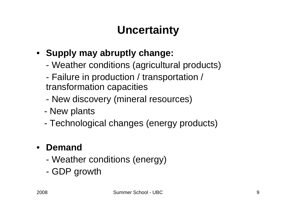### **Uncertainty**

#### • **Supply may abruptly change:**

- Weather conditions (agricultural products)
- - Failure in production / transportation / transformation capacities
- New discovery (mineral resources)
- New plants
- Technological changes (energy products)

#### $\bullet$ **Demand**

- Weather conditions (energy)
- GDP growth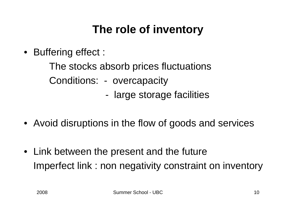### **The role of inventory**

• Buffering effect :

The stocks absorb prices fluctuations Conditions: - overcapacity

- large storage facilities
- Avoid disruptions in the flow of goods and services
- Link between the present and the future Imperfect link : non negativity constraint on inventory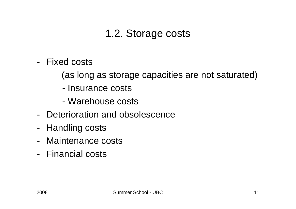#### 1.2. Storage costs

- Fixed costs
	- (as long as storage capacities are not saturated)
	- Insurance costs
	- Warehouse costs
- Deterioration and obsolescence
- Handling costs
- Maintenance costs
- Financial costs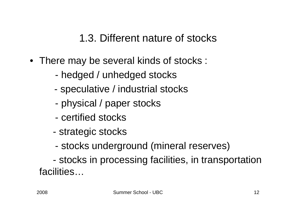1.3. Different nature of stocks

- There may be several kinds of stocks :
	- hedged / unhedged stocks
	- speculative / industrial stocks
	- physical / paper stocks
	- certified stocks
	- strategic stocks
	- stocks underground (mineral reserves)

 stocks in processing facilities, in transportation facilities…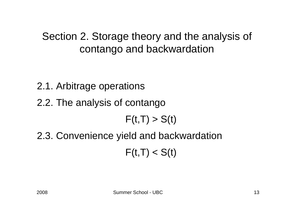#### Section 2. Storage theory and the analysis of contango and backwardation

2.1. Arbitrage operations

2.2. The analysis of contango

 $F(t,T) > S(t)$ 

2.3. Convenience yield and backwardation  $F(t,T) < S(t)$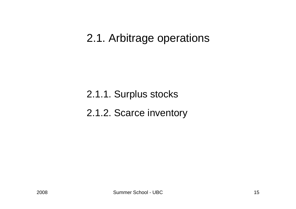#### 2.1. Arbitrage operations

2.1.1. Surplus stocks 2.1.2. Scarce inventory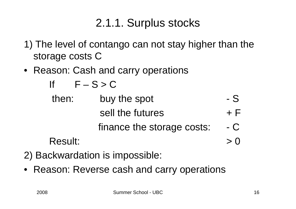### 2.1.1. Surplus stocks

- 1) The level of contango can not stay higher than the storage costs C
- Reason: Cash and carry operations

| If             | $F-S > C$                  |              |
|----------------|----------------------------|--------------|
| then:          | buy the spot               | - S          |
|                | sell the futures           | $+$ $\vdash$ |
|                | finance the storage costs: | - C          |
| <b>Result:</b> |                            | $>$ ()       |

- 2) Backwardation is impossible:
- Reason: Reverse cash and carry operations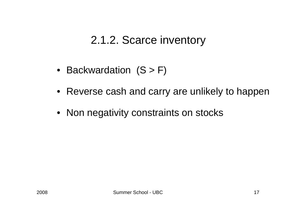#### 2.1.2. Scarce inventory

- Backwardation (S > F)
- Reverse cash and carry are unlikely to happen
- Non negativity constraints on stocks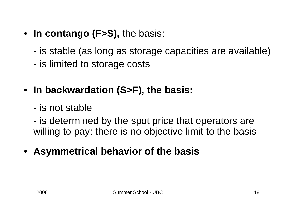- **In contango (F>S),** the basis:
	- is stable (as long as storage capacities are available)
	- is limited to storage costs
- **In backwardation (S>F), the basis:**
	- is not stable
	- is determined by the spot price that operators are willing to pay: there is no objective limit to the basis
- **Asymmetrical behavior of the basis**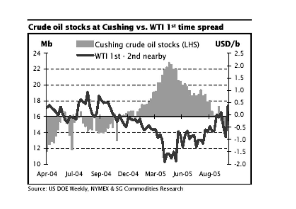

Source: US DOE Weekly, NYMEX & SG Commodities Research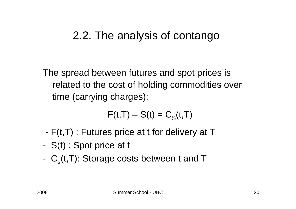#### 2.2. The analysis of contango

The spread between futures and spot prices is related to the cost of holding commodities over time (carrying charges):

$$
\boldsymbol{F}(t,T)-\boldsymbol{S}(t)=\boldsymbol{C}_{\text{S}}(t,T)
$$

- -F(t,T) : Futures price at t for delivery at T
- -S(t) : Spot price at t
- $\ C_{\rm s}$ (t,T): Storage costs between t and T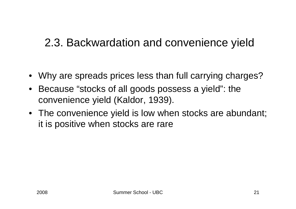### 2.3. Backwardation and convenience yield

- Why are spreads prices less than full carrying charges?
- $\bullet$  Because "stocks of all goods possess a yield": the convenience yield (Kaldor, 1939).
- The convenience yield is low when stocks are abundant; it is positive when stocks are rare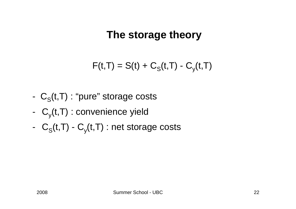#### **The storage theory**

$$
F(t,T) = S(t) + CS(t,T) - Cy(t,T)
$$

- $\ C_{\rm S}(\mathfrak{t},\mathsf{T})$  : "pure" storage costs
- C  $_{\rm y}$ (t,T) : convenience yield
- $C_S(t,T)$   $C_y(t,T)$  : net storage costs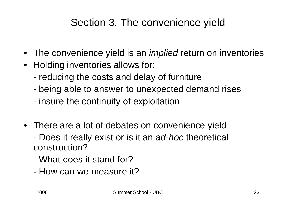#### Section 3. The convenience yield

- The convenience yield is an *implied* return on inventories
- Holding inventories allows for:
	- reducing the costs and delay of furniture
	- being able to answer to unexpected demand rises
	- insure the continuity of exploitation
- There are a lot of debates on convenience yield
	- Does it really exist or is it an *ad-hoc* theoretical construction?
	- What does it stand for?
	- How can we measure it?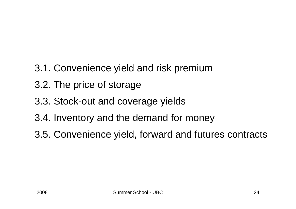- 3.1. Convenience yield and risk premium
- 3.2. The price of storage
- 3.3. Stock-out and coverage yields
- 3.4. Inventory and the demand for money
- 3.5. Convenience yield, forward and futures contracts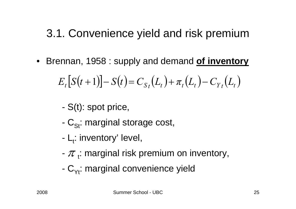### 3.1. Convenience yield and risk premium

 $\bullet$ Brennan, 1958 : supply and demand **of inventory**

$$
E_t[S(t+1)] - S(t) = C_{S_t}(L_t) + \pi_t(L_t) - C_{Y_t}(L_t)
$$

- S(t): spot price,
- $\text{C}_{\text{St}}$ : marginal storage cost,
- L<sub>t</sub>: inventory' level,
- $\pi$   $_{\mathfrak{t}}$ : marginal risk premium on inventory,
- $\mathsf{C}_{\mathsf{Yt}}$ : marginal convenience yield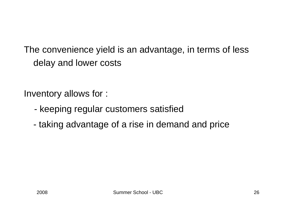The convenience yield is an advantage, in terms of less delay and lower costs

Inventory allows for :

- keeping regular customers satisfied
- taking advantage of a rise in demand and price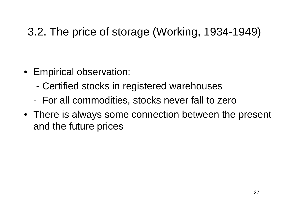### 3.2. The price of storage (Working, 1934-1949)

- Empirical observation:
	- Certified stocks in registered warehouses
	- For all commodities, stocks never fall to zero
- There is always some connection between the present and the future prices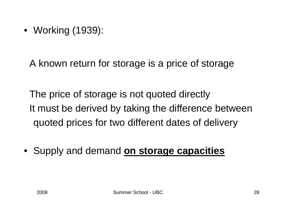• Working (1939):

A known return for storage is a price of storage

The price of storage is not quoted directly It must be derived by taking the difference between quoted prices for two different dates of delivery

• Supply and demand **on storage capacities**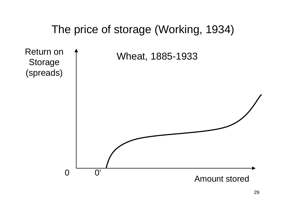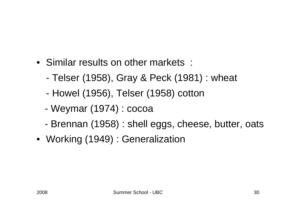- Similar results on other markets :
	- Telser (1958), Gray & Peck (1981) : wheat
	- -Howel (1956), Telser (1958) cotton
	- Weymar (1974) : cocoa
	- -Brennan (1958) : shell eggs, cheese, butter, oats
- Working (1949) : Generalization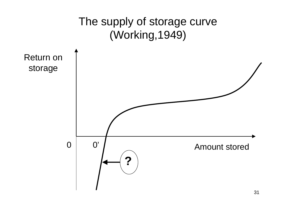

31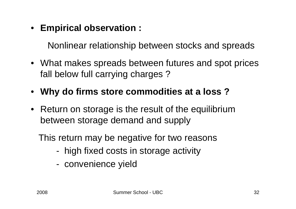• **Empirical observation :**

Nonlinear relationship between stocks and spreads

- What makes spreads between futures and spot prices fall below full carrying charges ?
- **Why do firms store commodities at a loss ?**
- Return on storage is the result of the equilibrium between storage demand and supply

This return may be negative for two reasons

- high fixed costs in storage activity
- convenience yield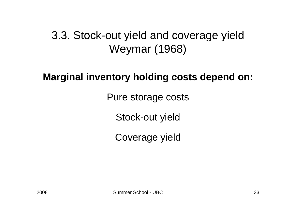#### 3.3. Stock-out yield and coverage yield Weymar (1968)

#### **Marginal inventory holding costs depend on:**

Pure storage costs

Stock-out yield

Coverage yield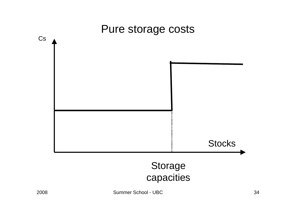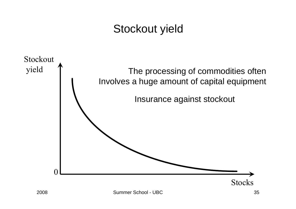### Stockout yield

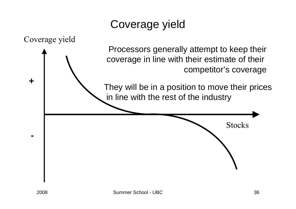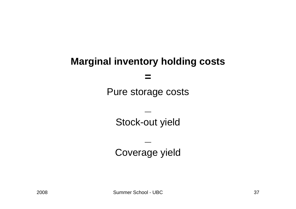#### **Marginal inventory holding costs**

**=**

Pure storage costs

Stock-out yield

**\_**

Coverage yield

**\_**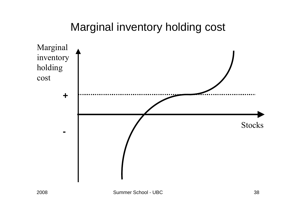#### Marginal inventory holding cost

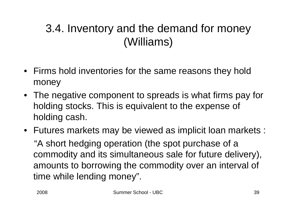### 3.4. Inventory and the demand for money (Williams)

- Firms hold inventories for the same reasons they hold money
- The negative component to spreads is what firms pay for holding stocks. This is equivalent to the expense of holding cash.
- Futures markets may be viewed as implicit loan markets : "A short hedging operation (the spot purchase of a commodity and its simultaneous sale for future delivery), amounts to borrowing the commodity over an interval of time while lending money".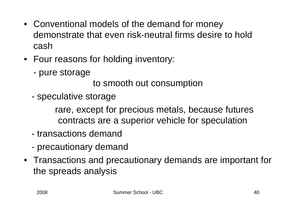- Conventional models of the demand for money demonstrate that even risk-neutral firms desire to hold cash
- Four reasons for holding inventory:
	- pure storage

to smooth out consumption

speculative storage

rare, except for precious metals, because futures contracts are a superior vehicle for speculation

- transactions demand
- precautionary demand
- Transactions and precautionary demands are important for the spreads analysis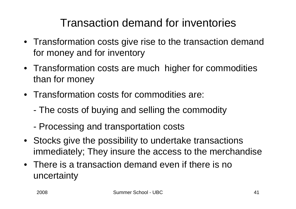### Transaction demand for inventories

- Transformation costs give rise to the transaction demand for money and for inventory
- Transformation costs are much higher for commodities than for money
- Transformation costs for commodities are:
	- -The costs of buying and selling the commodity
	- Processing and transportation costs
- Stocks give the possibility to undertake transactions immediately; They insure the access to the merchandise
- There is a transaction demand even if there is no uncertainty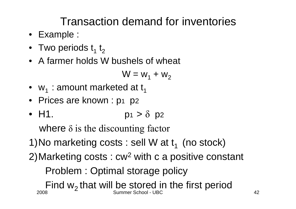### Transaction demand for inventories

- Example :
- $\bullet~$  Two periods  $\mathsf{t}_\mathsf{1}~\mathsf{t}_\mathsf{2}$
- A farmer holds W bushels of wheat

$$
W = w_1 + w_2
$$

- $\bullet \;$  w $_{1}$  : amount marketed at t $_{1}$
- Prices are known : p 1 p 2
- H1. p1  $> \delta$  p2

where δ is the discounting factor

- 1) No marketing costs : sell W at  $t_1$  (no stock)
- 2)Marketing costs : cw<sup>2</sup> with c a positive constant Problem : Optimal storage policy

2008 Summer School - UBC 42Find  $w_2$  that will be stored in the first period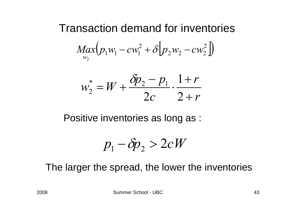Transaction demand for inventories

\n
$$
Max(p_1w_1 - cw_1^2 + \delta[p_2w_2 - cw_2^2])
$$
\n
$$
w_2^* = W + \frac{\delta p_2 - p_1}{2c} \cdot \frac{1 + r}{2 + r}
$$

Positive inventories as long as :

$$
p_1 - \delta p_2 > 2cW
$$

The larger the spread, the lower the inventories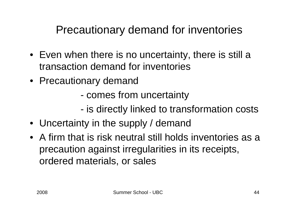- Even when there is no uncertainty, there is still a transaction demand for inventories
- Precautionary demand
	- comes from uncertainty
	- is directly linked to transformation costs
- Uncertainty in the supply / demand
- A firm that is risk neutral still holds inventories as a precaution against irregularities in its receipts, ordered materials, or sales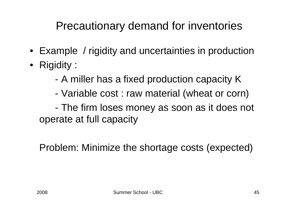- Example / rigidity and uncertainties in production
- Rigidity :
	- -A miller has a fixed production capacity K
	- Variable cost : raw material (wheat or corn)

 The firm loses money as soon as it does not operate at full capacity

Problem: Minimize the shortage costs (expected)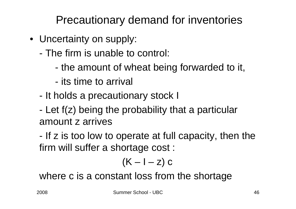- Uncertainty on supply:
	- The firm is unable to control:
		- the amount of wheat being forwarded to it,
		- its time to arrival
	- It holds a precautionary stock I
	- Let f(z) being the probability that a particular amount z arrives

 If z is too low to operate at full capacity, then the firm will suffer a shortage cost :

$$
(K-I-z) c
$$

where c is a constant loss from the shortage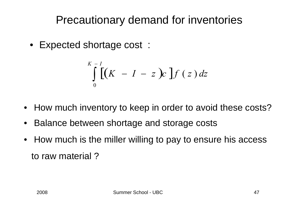• Expected shortage cost :

$$
\int\limits_{0}^{K-I} \left[ \left( K - I - z \right) c \right] f(z) \, dz
$$

- How much inventory to keep in order to avoid these costs?
- $\bullet$ Balance between shortage and storage costs
- $\bullet$  How much is the miller willing to pay to ensure his access to raw material ?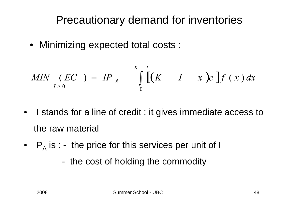• Minimizing expected total costs :

$$
MIN \underset{I \geq 0}{(EC)} = IP_A + \int_{0}^{K-I} [(K - I - x) c] f(x) dx
$$

- $\bullet$  I stands for a line of credit : it gives immediate access to the raw material
- $\bullet\quad$  P $_{\mathsf{A}}$  is : the price for this services per unit of I
	- the cost of holding the commodity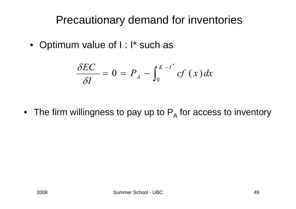• Optimum value of I : I\* such as

$$
\frac{\delta EC}{\delta I}=0=P_A-\int_0^{K-I^*}cf(x)dx
$$

 $\bullet~$  The firm willingness to pay up to  $\mathsf{P}_{\mathsf{A}}$  for access to inventory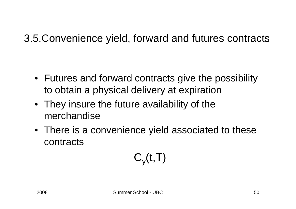3.5.Convenience yield, forward and futures contracts

- Futures and forward contracts give the possibility to obtain a physical delivery at expiration
- They insure the future availability of the merchandise
- There is a convenience yield associated to these contracts

$$
C_{y}(t,T)
$$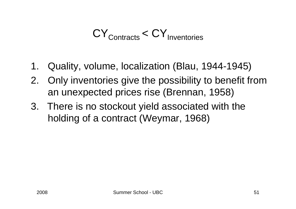$CY<sub>Contracts</sub> < CY<sub>Inventories</sub>$ 

- 1. Quality, volume, localization (Blau, 1944-1945)
- 2. Only inventories give the possibility to benefit from an unexpected prices rise (Brennan, 1958)
- 3. There is no stockout yield associated with the holding of a contract (Weymar, 1968)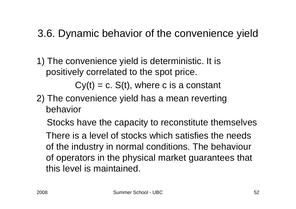#### 3.6. Dynamic behavior of the convenience yield

1) The convenience yield is deterministic. It is positively correlated to the spot price.

 $Cy(t) = c$ . S(t), where c is a constant

2) The convenience yield has a mean reverting behavior

Stocks have the capacity to reconstitute themselves

There is a level of stocks which satisfies the needs of the industry in normal conditions. The behaviour of operators in the physical market guarantees that this level is maintained.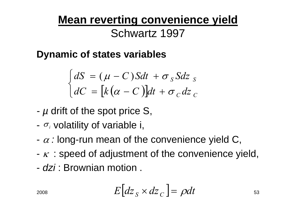# **Mean reverting convenience yield**

#### Schwartz 1997

**Dynamic of states variables**

$$
\begin{cases}\ndS = (\mu - C)Sdt + \sigma_S Sdz_S \\
dC = [k(\alpha - C)]dt + \sigma_C dz_C\n\end{cases}
$$

- *-* $\mu$  drift of the spot price S,
- - $\sigma_i$  volatility of variable i,
- $\alpha$  : long-run mean of the convenience yield C,
- $\kappa\,$  : speed of adjustment of the convenience yield,
- *dzi* : Brownian motion .

$$
E\big[d\mathbf{z}_S \times d\mathbf{z}_C\big] = \rho dt \tag{53}
$$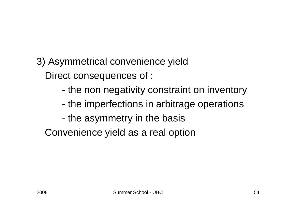- 3) Asymmetrical convenience yield Direct consequences of :
	- the non negativity constraint on inventory
	- the imperfections in arbitrage operations
	- the asymmetry in the basis

Convenience yield as a real option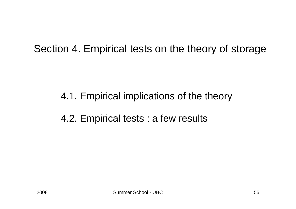#### Section 4. Empirical tests on the theory of storage

#### 4.1. Empirical implications of the theory

#### 4.2. Empirical tests : a few results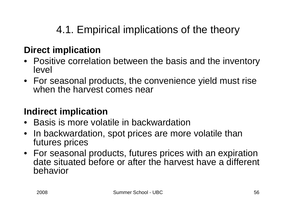### 4.1. Empirical implications of the theory

#### **Direct implication**

- Positive correlation between the basis and the inventory level
- For seasonal products, the convenience yield must rise when the harvest comes near

#### **Indirect implication**

- Basis is more volatile in backwardation
- $\bullet$  In backwardation, spot prices are more volatile than futures prices
- For seasonal products, futures prices with an expiration date situated before or after the harvest have a different behavior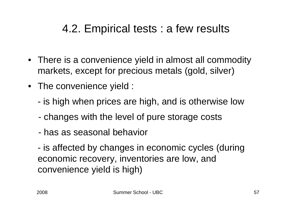### 4.2. Empirical tests : a few results

- There is a convenience yield in almost all commodity markets, except for precious metals (gold, silver)
- The convenience yield :
	- is high when prices are high, and is otherwise low
	- changes with the level of pure storage costs
	- has as seasonal behavior

 is affected by changes in economic cycles (during economic recovery, inventories are low, and convenience yield is high)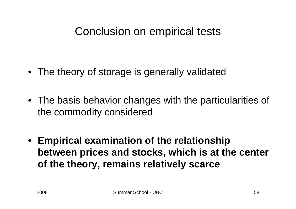#### Conclusion on empirical tests

- The theory of storage is generally validated
- The basis behavior changes with the particularities of the commodity considered
- **Empirical examination of the relationship between prices and stocks, which is at the center of the theory, remains relatively scarce**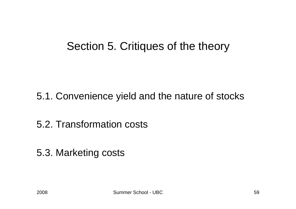#### Section 5. Critiques of the theory

5.1. Convenience yield and the nature of stocks

5.2. Transformation costs

5.3. Marketing costs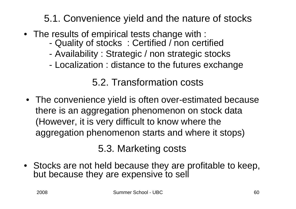#### 5.1. Convenience yield and the nature of stocks

- The results of empirical tests change with :
	- -Quality of stocks : Certified / non certified
	- Availability : Strategic / non strategic stocks
	- Localization : distance to the futures exchange

#### 5.2. Transformation costs

• The convenience yield is often over-estimated because there is an aggregation phenomenon on stock data (However, it is very difficult to know where the aggregation phenomenon starts and where it stops)

5.3. Marketing costs

• Stocks are not held because they are profitable to keep, but because they are expensive to sell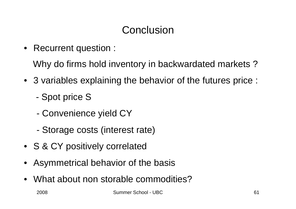### **Conclusion**

• Recurrent question :

Why do firms hold inventory in backwardated markets ?

- 3 variables explaining the behavior of the futures price :
	- -Spot price S
	- Convenience yield CY
	- Storage costs (interest rate)
- S & CY positively correlated
- •Asymmetrical behavior of the basis
- •What about non storable commodities?